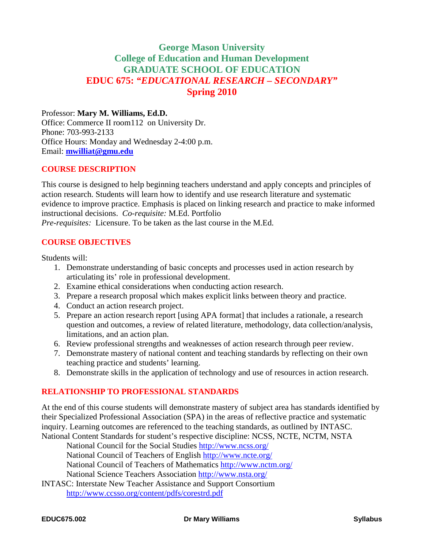## **George Mason University College of Education and Human Development GRADUATE SCHOOL OF EDUCATION EDUC 675:** *"EDUCATIONAL RESEARCH – SECONDARY"* **Spring 2010**

#### Professor: **Mary M. Williams, Ed.D.**

Office: Commerce II room112 on University Dr. Phone: 703-993-2133 Office Hours: Monday and Wednesday 2-4:00 p.m. Email: **[mwilliat@gmu.edu](mailto:mwilliat@gmu.edu)**

#### **COURSE DESCRIPTION**

This course is designed to help beginning teachers understand and apply concepts and principles of action research. Students will learn how to identify and use research literature and systematic evidence to improve practice. Emphasis is placed on linking research and practice to make informed instructional decisions. *Co-requisite:* M.Ed. Portfolio

*Pre-requisites:* Licensure. To be taken as the last course in the M.Ed.

## **COURSE OBJECTIVES**

Students will:

- 1. Demonstrate understanding of basic concepts and processes used in action research by articulating its' role in professional development.
- 2. Examine ethical considerations when conducting action research.
- 3. Prepare a research proposal which makes explicit links between theory and practice.
- 4. Conduct an action research project.
- 5. Prepare an action research report [using APA format] that includes a rationale, a research question and outcomes, a review of related literature, methodology, data collection/analysis, limitations, and an action plan.
- 6. Review professional strengths and weaknesses of action research through peer review.
- 7. Demonstrate mastery of national content and teaching standards by reflecting on their own teaching practice and students' learning.
- 8. Demonstrate skills in the application of technology and use of resources in action research.

## **RELATIONSHIP TO PROFESSIONAL STANDARDS**

At the end of this course students will demonstrate mastery of subject area has standards identified by their Specialized Professional Association (SPA) in the areas of reflective practice and systematic inquiry. Learning outcomes are referenced to the teaching standards, as outlined by INTASC. National Content Standards for student's respective discipline: NCSS, NCTE, NCTM, NSTA

National Council for the Social Studies<http://www.ncss.org/>

National Council of Teachers of English<http://www.ncte.org/>

National Council of Teachers of Mathematics<http://www.nctm.org/>

National Science Teachers Association<http://www.nsta.org/>

[INTASC: Interstate New Teacher Assistance and Support Consortium](http://www.ccsso.org/content/pdfs/corestrd.pdf) <http://www.ccsso.org/content/pdfs/corestrd.pdf>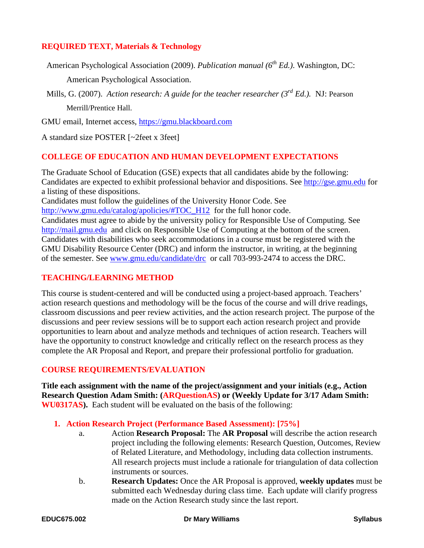## **REQUIRED TEXT, Materials & Technology**

American Psychological Association (2009). *Publication manual* (6<sup>th</sup> Ed.). Washington, DC:

American Psychological Association.

Mills, G. (2007). *Action research: A guide for the teacher researcher (3<sup>rd</sup> Ed.).* NJ: Pearson Merrill/Prentice Hall.

GMU email, Internet access, [https://gmu.blackboard.com](https://gmu.blackboard.com/)

A standard size POSTER [~2feet x 3feet]

#### **COLLEGE OF EDUCATION AND HUMAN DEVELOPMENT EXPECTATIONS**

The Graduate School of Education (GSE) expects that all candidates abide by the following: Candidates are expected to exhibit professional behavior and dispositions. See [http://gse.gmu.edu](http://gse.gmu.edu/) for a listing of these dispositions.

Candidates must follow the guidelines of the University Honor Code. See [http://www.gmu.edu/catalog/apolicies/#TOC\\_H12](http://www.gmu.edu/catalog/apolicies/#TOC_H12) for the full honor code. Candidates must agree to abide by the university policy for Responsible Use of Computing. See [http://mail.gmu.edu](http://mail.gmu.edu/) and click on Responsible Use of Computing at the bottom of the screen. Candidates with disabilities who seek accommodations in a course must be registered with the GMU Disability Resource Center (DRC) and inform the instructor, in writing, at the beginning of the semester. See [www.gmu.edu/candidate/drc](http://www.gmu.edu/candidate/drc) or call 703-993-2474 to access the DRC.

## **TEACHING/LEARNING METHOD**

This course is student-centered and will be conducted using a project-based approach. Teachers' action research questions and methodology will be the focus of the course and will drive readings, classroom discussions and peer review activities, and the action research project. The purpose of the discussions and peer review sessions will be to support each action research project and provide opportunities to learn about and analyze methods and techniques of action research. Teachers will have the opportunity to construct knowledge and critically reflect on the research process as they complete the AR Proposal and Report, and prepare their professional portfolio for graduation.

## **COURSE REQUIREMENTS/EVALUATION**

**Title each assignment with the name of the project/assignment and your initials (e.g., Action Research Question Adam Smith: (ARQuestionAS) or (Weekly Update for 3/17 Adam Smith: WU0317AS).** Each student will be evaluated on the basis of the following:

**1. Action Research Project (Performance Based Assessment): [75%]**

- a. Action **Research Proposal:** The **AR Proposal** will describe the action research project including the following elements: Research Question, Outcomes, Review of Related Literature, and Methodology, including data collection instruments. All research projects must include a rationale for triangulation of data collection instruments or sources.
- b. **Research Updates:** Once the AR Proposal is approved, **weekly updates** must be submitted each Wednesday during class time. Each update will clarify progress made on the Action Research study since the last report.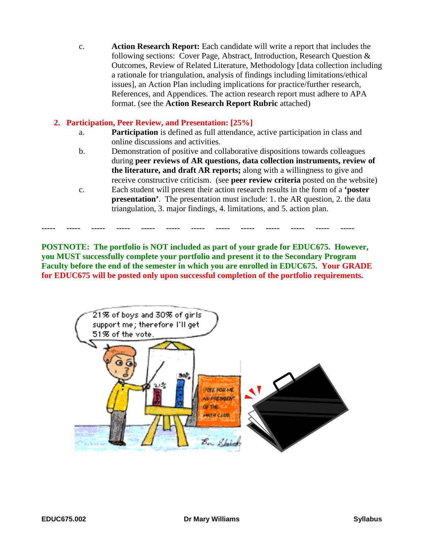c. **Action Research Report:** Each candidate will write a report that includes the following sections: Cover Page, Abstract, Introduction, Research Question & Outcomes, Review of Related Literature, Methodology [data collection including a rationale for triangulation, analysis of findings including limitations/ethical issues], an Action Plan including implications for practice/further research, References, and Appendices. The action research report must adhere to APA format. (see the **Action Research Report Rubric** attached)

## **2. Participation, Peer Review, and Presentation: [25%]**

- a. **Participation** is defined as full attendance, active participation in class and online discussions and activities.
- b. Demonstration of positive and collaborative dispositions towards colleagues during **peer reviews of AR questions, data collection instruments, review of the literature, and draft AR reports;** along with a willingness to give and receive constructive criticism. (see **peer review criteria** posted on the website)
- c. Each student will present their action research results in the form of a **'poster presentation'.** The presentation must include: 1. the AR question, 2. the data triangulation, 3. major findings, 4. limitations, and 5. action plan.

**POSTNOTE: The portfolio is NOT included as part of your grade for EDUC675. However, you MUST successfully complete your portfolio and present it to the Secondary Program Faculty before the end of the semester in which you are enrolled in EDUC675. Your GRADE for EDUC675 will be posted only upon successful completion of the portfolio requirements.**

**----- ----- ----- ----- ----- ----- ----- ----- ----- ----- ----- ----- -----**

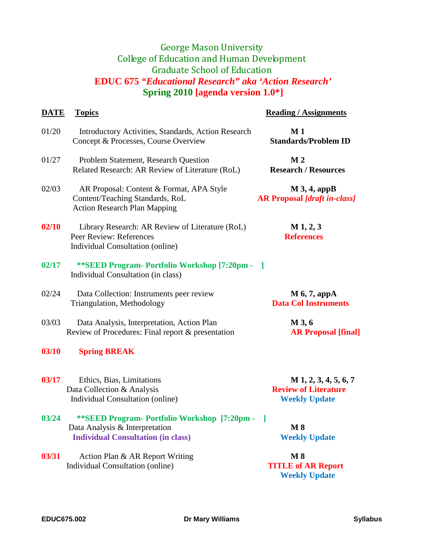# George Mason University College of Education and Human Development Graduate School of Education **EDUC 675** *"Educational Research" aka 'Action Research'* **Spring 2010 [agenda version 1.0\*]**

| <b>DATE</b> | <b>Topics</b>                                                                                                                 | <b>Reading / Assignments</b>                                                   |
|-------------|-------------------------------------------------------------------------------------------------------------------------------|--------------------------------------------------------------------------------|
| 01/20       | Introductory Activities, Standards, Action Research<br>Concept & Processes, Course Overview                                   | M <sub>1</sub><br><b>Standards/Problem ID</b>                                  |
| 01/27       | Problem Statement, Research Question<br>Related Research: AR Review of Literature (RoL)                                       | M <sub>2</sub><br><b>Research / Resources</b>                                  |
| 02/03       | AR Proposal: Content & Format, APA Style<br>Content/Teaching Standards, RoL<br><b>Action Research Plan Mapping</b>            | $M$ 3, 4, appB<br><b>AR Proposal [draft in-class]</b>                          |
| 02/10       | Library Research: AR Review of Literature (RoL)<br>Peer Review: References<br>Individual Consultation (online)                | $M_1, 2, 3$<br><b>References</b>                                               |
| 02/17       | **SEED Program- Portfolio Workshop [7:20pm -<br>Individual Consultation (in class)                                            |                                                                                |
| 02/24       | Data Collection: Instruments peer review<br>Triangulation, Methodology                                                        | $M$ 6, 7, appA<br><b>Data Col Instruments</b>                                  |
| 03/03       | Data Analysis, Interpretation, Action Plan<br>Review of Procedures: Final report & presentation                               | M 3, 6<br><b>AR Proposal [final]</b>                                           |
| 03/10       | <b>Spring BREAK</b>                                                                                                           |                                                                                |
| 03/17       | Ethics, Bias, Limitations<br>Data Collection & Analysis<br>Individual Consultation (online)                                   | $M$ 1, 2, 3, 4, 5, 6, 7<br><b>Review of Literature</b><br><b>Weekly Update</b> |
| 03/24       | **SEED Program- Portfolio Workshop [7:20pm - ]<br>Data Analysis & Interpretation<br><b>Individual Consultation (in class)</b> | $\bf M8$<br><b>Weekly Update</b>                                               |
| 03/31       | Action Plan & AR Report Writing<br>Individual Consultation (online)                                                           | M8<br><b>TITLE of AR Report</b><br><b>Weekly Update</b>                        |